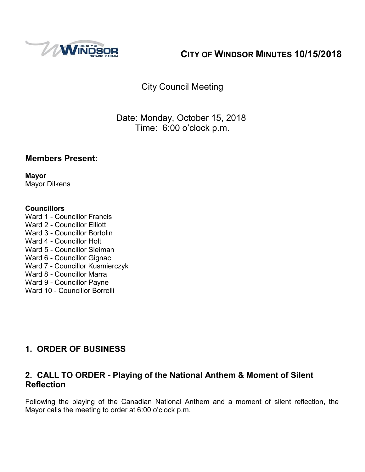

# **CITY OF WINDSOR MINUTES 10/15/2018**

City Council Meeting

Date: Monday, October 15, 2018 Time: 6:00 o'clock p.m.

## **Members Present:**

**Mayor** Mayor Dilkens

#### **Councillors**

Ward 1 - Councillor Francis Ward 2 - Councillor Elliott Ward 3 - Councillor Bortolin Ward 4 - Councillor Holt Ward 5 - Councillor Sleiman Ward 6 - Councillor Gignac Ward 7 - Councillor Kusmierczyk Ward 8 - Councillor Marra Ward 9 - Councillor Payne Ward 10 - Councillor Borrelli

# **1. ORDER OF BUSINESS**

## **2. CALL TO ORDER - Playing of the National Anthem & Moment of Silent Reflection**

Following the playing of the Canadian National Anthem and a moment of silent reflection, the Mayor calls the meeting to order at 6:00 o'clock p.m.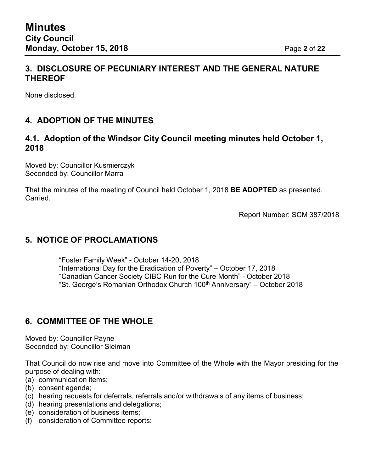## **3. DISCLOSURE OF PECUNIARY INTEREST AND THE GENERAL NATURE THEREOF**

None disclosed.

# **4. ADOPTION OF THE MINUTES**

## **4.1. Adoption of the Windsor City Council meeting minutes held October 1, 2018**

Moved by: Councillor Kusmierczyk Seconded by: Councillor Marra

That the minutes of the meeting of Council held October 1, 2018 **BE ADOPTED** as presented. Carried.

Report Number: SCM 387/2018

## **5. NOTICE OF PROCLAMATIONS**

["Foster](https://www.citywindsor.ca/cityhall/City-Council-Meetings/Proclamations/Documents/foster%20fam.pdf) Family Week" - October 14-20, 2018 "International Day for the Eradication of Poverty" – October 17, 2018 ["Canadian](https://www.citywindsor.ca/cityhall/City-Council-Meetings/Proclamations/Documents/cancer.pdf) Cancer Society CIBC Run for the Cure Month" - October 2018 "St. George's Romanian Orthodox Church 100<sup>th</sup> Anniversary" – October 2018

## **6. COMMITTEE OF THE WHOLE**

Moved by: Councillor Payne Seconded by: Councillor Sleiman

That Council do now rise and move into Committee of the Whole with the Mayor presiding for the purpose of dealing with:

- (a) communication items;
- (b) consent agenda;
- (c) hearing requests for deferrals, referrals and/or withdrawals of any items of business;
- (d) hearing presentations and delegations;
- (e) consideration of business items;
- (f) consideration of Committee reports: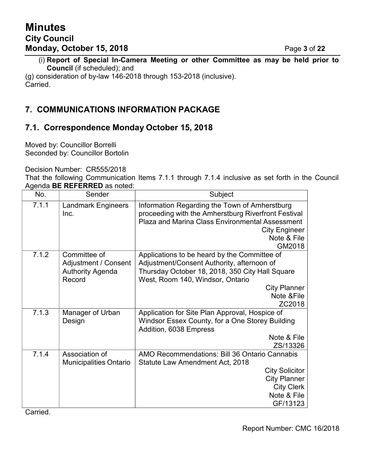(i) **Report of Special In-Camera Meeting or other Committee as may be held prior to Council** (if scheduled); and

(g) consideration of by-law 146-2018 through 153-2018 (inclusive). Carried.

## **7. COMMUNICATIONS INFORMATION PACKAGE**

## **7.1. Correspondence Monday October 15, 2018**

Moved by: Councillor Borrelli Seconded by: Councillor Bortolin

Decision Number: CR555/2018

That the following Communication Items 7.1.1 through 7.1.4 inclusive as set forth in the Council Agenda **BE REFERRED** as noted:

| No.   | Sender                                                                    | Subject                                                                                                                                                                                        |
|-------|---------------------------------------------------------------------------|------------------------------------------------------------------------------------------------------------------------------------------------------------------------------------------------|
| 7.1.1 | <b>Landmark Engineers</b><br>Inc.                                         | Information Regarding the Town of Amherstburg<br>proceeding with the Amherstburg Riverfront Festival<br>Plaza and Marina Class Environmental Assessment<br><b>City Engineer</b><br>Note & File |
| 7.1.2 | Committee of<br>Adjustment / Consent<br><b>Authority Agenda</b><br>Record | GM2018<br>Applications to be heard by the Committee of<br>Adjustment/Consent Authority, afternoon of<br>Thursday October 18, 2018, 350 City Hall Square<br>West, Room 140, Windsor, Ontario    |
|       |                                                                           | <b>City Planner</b><br>Note & File<br>ZC2018                                                                                                                                                   |
| 7.1.3 | Manager of Urban<br>Design                                                | Application for Site Plan Approval, Hospice of<br>Windsor Essex County, for a One Storey Building<br>Addition, 6038 Empress<br>Note & File<br>ZS/13326                                         |
| 7.1.4 | Association of<br><b>Municipalities Ontario</b>                           | AMO Recommendations: Bill 36 Ontario Cannabis<br>Statute Law Amendment Act, 2018<br><b>City Solicitor</b><br><b>City Planner</b><br><b>City Clerk</b><br>Note & File<br>GF/13123               |

Carried.

Report Number: CMC 16/2018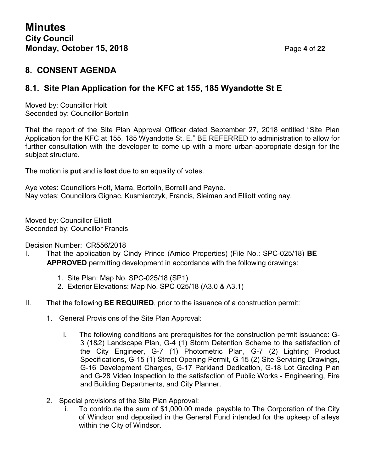### **8. CONSENT AGENDA**

## **8.1. Site Plan Application for the KFC at 155, 185 Wyandotte St E**

Moved by: Councillor Holt Seconded by: Councillor Bortolin

That the report of the Site Plan Approval Officer dated September 27, 2018 entitled "Site Plan Application for the KFC at 155, 185 Wyandotte St. E." BE REFERRED to administration to allow for further consultation with the developer to come up with a more urban-appropriate design for the subject structure.

The motion is **put** and is **lost** due to an equality of votes.

Aye votes: Councillors Holt, Marra, Bortolin, Borrelli and Payne. Nay votes: Councillors Gignac, Kusmierczyk, Francis, Sleiman and Elliott voting nay.

Moved by: Councillor Elliott Seconded by: Councillor Francis

Decision Number: CR556/2018

- I. That the application by Cindy Prince (Amico Properties) (File No.: SPC-025/18) **BE APPROVED** permitting development in accordance with the following drawings:
	- 1. Site Plan: Map No. SPC-025/18 (SP1)
	- 2. Exterior Elevations: Map No. SPC-025/18 (A3.0 & A3.1)
- II. That the following **BE REQUIRED**, prior to the issuance of a construction permit:
	- 1. General Provisions of the Site Plan Approval:
		- i. The following conditions are prerequisites for the construction permit issuance: G-3 (1&2) Landscape Plan, G-4 (1) Storm Detention Scheme to the satisfaction of the City Engineer, G-7 (1) Photometric Plan, G-7 (2) Lighting Product Specifications, G-15 (1) Street Opening Permit, G-15 (2) Site Servicing Drawings, G-16 Development Charges, G-17 Parkland Dedication, G-18 Lot Grading Plan and G-28 Video Inspection to the satisfaction of Public Works - Engineering, Fire and Building Departments, and City Planner.
	- 2. Special provisions of the Site Plan Approval:
		- To contribute the sum of \$1,000.00 made payable to The Corporation of the City of Windsor and deposited in the General Fund intended for the upkeep of alleys within the City of Windsor.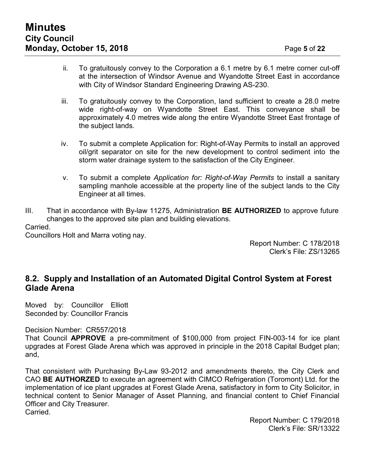- ii. To gratuitously convey to the Corporation a 6.1 metre by 6.1 metre corner cut-off at the intersection of Windsor Avenue and Wyandotte Street East in accordance with City of Windsor Standard Engineering Drawing AS-230.
- iii. To gratuitously convey to the Corporation, land sufficient to create a 28.0 metre wide right-of-way on Wyandotte Street East. This conveyance shall be approximately 4.0 metres wide along the entire Wyandotte Street East frontage of the subject lands.
- iv. To submit a complete Application for: Right-of-Way Permits to install an approved oil/grit separator on site for the new development to control sediment into the storm water drainage system to the satisfaction of the City Engineer.
- v. To submit a complete *Application for: Right-of-Way Permits* to install a sanitary sampling manhole accessible at the property line of the subject lands to the City Engineer at all times.
- III. That in accordance with By-law 11275, Administration **BE AUTHORIZED** to approve future changes to the approved site plan and building elevations.

Carried.

Councillors Holt and Marra voting nay.

Report Number: C 178/2018 Clerk's File: ZS/13265

## **8.2. Supply and Installation of an Automated Digital Control System at Forest Glade Arena**

Moved by: Councillor Elliott Seconded by: Councillor Francis

Decision Number: CR557/2018

That Council **APPROVE** a pre-commitment of \$100,000 from project FIN-003-14 for ice plant upgrades at Forest Glade Arena which was approved in principle in the 2018 Capital Budget plan; and,

That consistent with Purchasing By-Law 93-2012 and amendments thereto, the City Clerk and CAO **BE AUTHORZED** to execute an agreement with CIMCO Refrigeration (Toromont) Ltd. for the implementation of ice plant upgrades at Forest Glade Arena, satisfactory in form to City Solicitor, in technical content to Senior Manager of Asset Planning, and financial content to Chief Financial Officer and City Treasurer.

Carried.

Report Number: C 179/2018 Clerk's File: SR/13322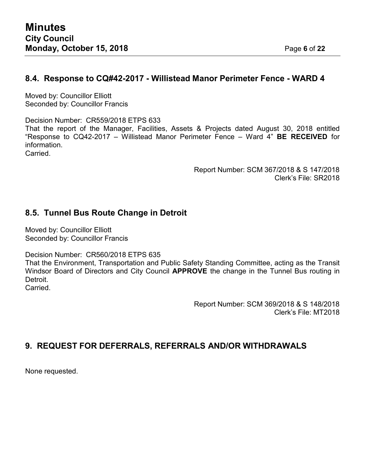# **8.4. Response to CQ#42-2017 - Willistead Manor Perimeter Fence - WARD 4**

Moved by: Councillor Elliott Seconded by: Councillor Francis

Decision Number: CR559/2018 ETPS 633

That the report of the Manager, Facilities, Assets & Projects dated August 30, 2018 entitled "Response to CQ42-2017 – Willistead Manor Perimeter Fence – Ward 4" **BE RECEIVED** for information.

Carried.

Report Number: SCM 367/2018 & S 147/2018 Clerk's File: SR2018

## **8.5. Tunnel Bus Route Change in Detroit**

Moved by: Councillor Elliott Seconded by: Councillor Francis

Decision Number: CR560/2018 ETPS 635

That the Environment, Transportation and Public Safety Standing Committee, acting as the Transit Windsor Board of Directors and City Council **APPROVE** the change in the Tunnel Bus routing in Detroit. Carried.

Report Number: SCM 369/2018 & S 148/2018

Clerk's File: MT2018

## **9. REQUEST FOR DEFERRALS, REFERRALS AND/OR WITHDRAWALS**

None requested.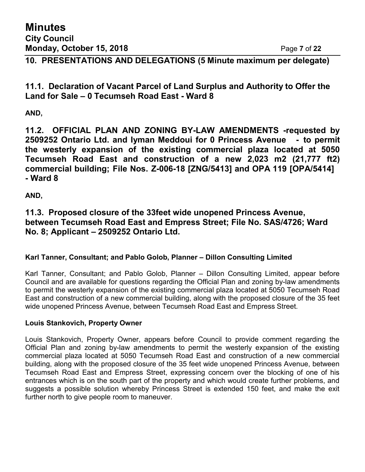**Minutes City Council Monday, October 15, 2018** Page **7** of **22**

**10. PRESENTATIONS AND DELEGATIONS (5 Minute maximum per delegate)**

**11.1. Declaration of Vacant Parcel of Land Surplus and Authority to Offer the Land for Sale – 0 Tecumseh Road East - Ward 8**

**AND,**

**11.2. OFFICIAL PLAN AND ZONING BY-LAW AMENDMENTS -requested by 2509252 Ontario Ltd. and Iyman Meddoui for 0 Princess Avenue - to permit the westerly expansion of the existing commercial plaza located at 5050 Tecumseh Road East and construction of a new 2,023 m2 (21,777 ft2) commercial building; File Nos. Z-006-18 [ZNG/5413] and OPA 119 [OPA/5414] - Ward 8**

**AND,**

**11.3. Proposed closure of the 33feet wide unopened Princess Avenue, between Tecumseh Road East and Empress Street; File No. SAS/4726; Ward No. 8; Applicant – 2509252 Ontario Ltd.**

#### **Karl Tanner, Consultant; and Pablo Golob, Planner – Dillon Consulting Limited**

Karl Tanner, Consultant; and Pablo Golob, Planner – Dillon Consulting Limited, appear before Council and are available for questions regarding the Official Plan and zoning by-law amendments to permit the westerly expansion of the existing commercial plaza located at 5050 Tecumseh Road East and construction of a new commercial building, along with the proposed closure of the 35 feet wide unopened Princess Avenue, between Tecumseh Road East and Empress Street.

#### **Louis Stankovich, Property Owner**

Louis Stankovich, Property Owner, appears before Council to provide comment regarding the Official Plan and zoning by-law amendments to permit the westerly expansion of the existing commercial plaza located at 5050 Tecumseh Road East and construction of a new commercial building, along with the proposed closure of the 35 feet wide unopened Princess Avenue, between Tecumseh Road East and Empress Street, expressing concern over the blocking of one of his entrances which is on the south part of the property and which would create further problems, and suggests a possible solution whereby Princess Street is extended 150 feet, and make the exit further north to give people room to maneuver.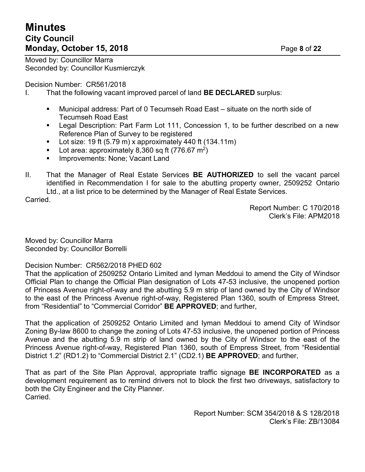# **Minutes City Council Monday, October 15, 2018** Page **8** of **22**

Moved by: Councillor Marra Seconded by: Councillor Kusmierczyk

Decision Number: CR561/2018

- I. That the following vacant improved parcel of land **BE DECLARED** surplus:
	- Municipal address: Part of 0 Tecumseh Road East situate on the north side of Tecumseh Road East
	- Legal Description: Part Farm Lot 111, Concession 1, to be further described on a new Reference Plan of Survey to be registered
	- Lot size: 19 ft  $(5.79 \text{ m})$  x approximately 440 ft  $(134.11 \text{ m})$
	- **•** Lot area: approximately 8,360 sq ft (776.67 m<sup>2</sup>)
	- Improvements: None: Vacant Land
- II. That the Manager of Real Estate Services **BE AUTHORIZED** to sell the vacant parcel identified in Recommendation I for sale to the abutting property owner, 2509252 Ontario Ltd., at a list price to be determined by the Manager of Real Estate Services.

Carried.

Report Number: C 170/2018 Clerk's File: APM2018

Moved by: Councillor Marra Seconded by: Councillor Borrelli

Decision Number: CR562/2018 PHED 602

That the application of 2509252 Ontario Limited and Iyman Meddoui to amend the City of Windsor Official Plan to change the Official Plan designation of Lots 47-53 inclusive, the unopened portion of Princess Avenue right-of-way and the abutting 5.9 m strip of land owned by the City of Windsor to the east of the Princess Avenue right-of-way, Registered Plan 1360, south of Empress Street, from "Residential" to "Commercial Corridor" **BE APPROVED**; and further,

That the application of 2509252 Ontario Limited and Iyman Meddoui to amend City of Windsor Zoning By-law 8600 to change the zoning of Lots 47-53 inclusive, the unopened portion of Princess Avenue and the abutting 5.9 m strip of land owned by the City of Windsor to the east of the Princess Avenue right-of-way, Registered Plan 1360, south of Empress Street, from "Residential District 1.2" (RD1.2) to "Commercial District 2.1" (CD2.1) **BE APPROVED**; and further,

That as part of the Site Plan Approval, appropriate traffic signage **BE INCORPORATED** as a development requirement as to remind drivers not to block the first two driveways, satisfactory to both the City Engineer and the City Planner. Carried.

> Report Number: SCM 354/2018 & S 128/2018 Clerk's File: ZB/13084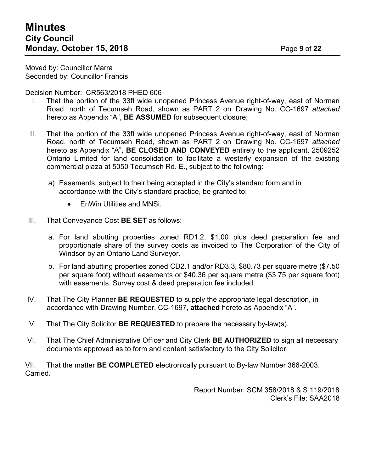Moved by: Councillor Marra Seconded by: Councillor Francis

Decision Number: CR563/2018 PHED 606

- I. That the portion of the 33ft wide unopened Princess Avenue right-of-way, east of Norman Road, north of Tecumseh Road, shown as PART 2 on Drawing No. CC-1697 *attached* hereto as Appendix "A", **BE ASSUMED** for subsequent closure;
- II. That the portion of the 33ft wide unopened Princess Avenue right-of-way, east of Norman Road, north of Tecumseh Road, shown as PART 2 on Drawing No. CC-1697 *attached* hereto as Appendix "A"**, BE CLOSED AND CONVEYED** entirely to the applicant, 2509252 Ontario Limited for land consolidation to facilitate a westerly expansion of the existing commercial plaza at 5050 Tecumseh Rd. E., subject to the following:
	- a) Easements, subject to their being accepted in the City's standard form and in accordance with the City's standard practice, be granted to:
		- EnWin Utilities and MNSi.
- III. That Conveyance Cost **BE SET** as follows:
	- a. For land abutting properties zoned RD1.2, \$1.00 plus deed preparation fee and proportionate share of the survey costs as invoiced to The Corporation of the City of Windsor by an Ontario Land Surveyor.
	- b. For land abutting properties zoned CD2.1 and/or RD3.3, \$80.73 per square metre (\$7.50 per square foot) without easements or \$40.36 per square metre (\$3.75 per square foot) with easements. Survey cost & deed preparation fee included.
- IV. That The City Planner **BE REQUESTED** to supply the appropriate legal description, in accordance with Drawing Number. CC-1697, **attached** hereto as Appendix "A".
- V. That The City Solicitor **BE REQUESTED** to prepare the necessary by-law(s).
- VI. That The Chief Administrative Officer and City Clerk **BE AUTHORIZED** to sign all necessary documents approved as to form and content satisfactory to the City Solicitor.

VII. That the matter **BE COMPLETED** electronically pursuant to By-law Number 366-2003. Carried.

> Report Number: SCM 358/2018 & S 119/2018 Clerk's File: SAA2018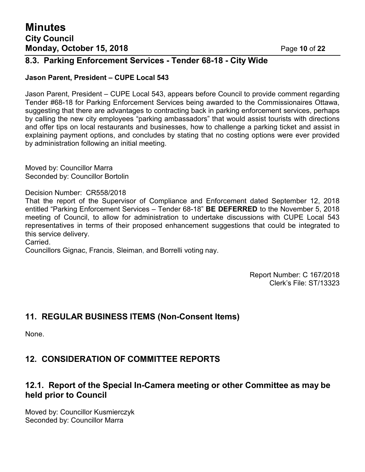## **8.3. Parking Enforcement Services - Tender 68-18 - City Wide**

#### **Jason Parent, President – CUPE Local 543**

Jason Parent, President – CUPE Local 543, appears before Council to provide comment regarding Tender #68-18 for Parking Enforcement Services being awarded to the Commissionaires Ottawa, suggesting that there are advantages to contracting back in parking enforcement services, perhaps by calling the new city employees "parking ambassadors" that would assist tourists with directions and offer tips on local restaurants and businesses, how to challenge a parking ticket and assist in explaining payment options, and concludes by stating that no costing options were ever provided by administration following an initial meeting.

Moved by: Councillor Marra Seconded by: Councillor Bortolin

Decision Number: CR558/2018

That the report of the Supervisor of Compliance and Enforcement dated September 12, 2018 entitled "Parking Enforcement Services – Tender 68-18" **BE DEFERRED** to the November 5, 2018 meeting of Council, to allow for administration to undertake discussions with CUPE Local 543 representatives in terms of their proposed enhancement suggestions that could be integrated to this service delivery.

Carried.

Councillors Gignac, Francis, Sleiman, and Borrelli voting nay.

Report Number: C 167/2018 Clerk's File: ST/13323

# **11. REGULAR BUSINESS ITEMS (Non-Consent Items)**

None.

# **12. CONSIDERATION OF COMMITTEE REPORTS**

## **12.1. Report of the Special In-Camera meeting or other Committee as may be held prior to Council**

Moved by: Councillor Kusmierczyk Seconded by: Councillor Marra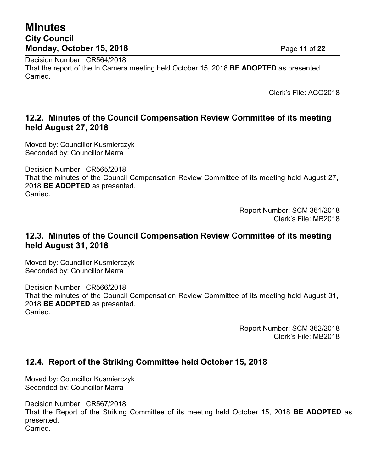# **Minutes City Council Monday, October 15, 2018** Page **11** of **22**

Decision Number: CR564/2018 That the report of the In Camera meeting held October 15, 2018 **BE ADOPTED** as presented. Carried.

Clerk's File: ACO2018

## **12.2. Minutes of the Council Compensation Review Committee of its meeting held August 27, 2018**

Moved by: Councillor Kusmierczyk Seconded by: Councillor Marra

Decision Number: CR565/2018

That the minutes of the Council Compensation Review Committee of its meeting held August 27, 2018 **BE ADOPTED** as presented. Carried.

> Report Number: SCM 361/2018 Clerk's File: MB2018

### **12.3. Minutes of the Council Compensation Review Committee of its meeting held August 31, 2018**

Moved by: Councillor Kusmierczyk Seconded by: Councillor Marra

Decision Number: CR566/2018 That the minutes of the Council Compensation Review Committee of its meeting held August 31, 2018 **BE ADOPTED** as presented. Carried.

> Report Number: SCM 362/2018 Clerk's File: MB2018

## **12.4. Report of the Striking Committee held October 15, 2018**

Moved by: Councillor Kusmierczyk Seconded by: Councillor Marra

Decision Number: CR567/2018 That the Report of the Striking Committee of its meeting held October 15, 2018 **BE ADOPTED** as presented. **Carried**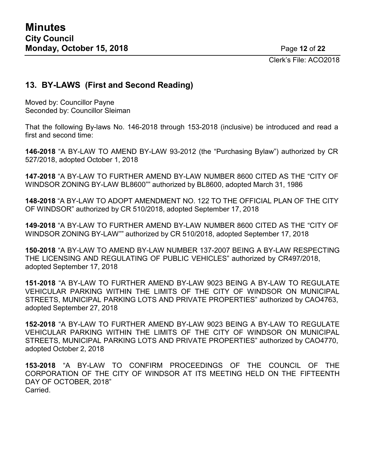Clerk's File: ACO2018

## **13. BY-LAWS (First and Second Reading)**

Moved by: Councillor Payne Seconded by: Councillor Sleiman

That the following By-laws No. 146-2018 through 153-2018 (inclusive) be introduced and read a first and second time:

**146-2018** "A BY-LAW TO AMEND BY-LAW 93-2012 (the "Purchasing Bylaw") authorized by CR 527/2018, adopted October 1, 2018

**147-2018** "A BY-LAW TO FURTHER AMEND BY-LAW NUMBER 8600 CITED AS THE "CITY OF WINDSOR ZONING BY-LAW BL8600"" authorized by BL8600, adopted March 31, 1986

**148-2018** "A BY-LAW TO ADOPT AMENDMENT NO. 122 TO THE OFFICIAL PLAN OF THE CITY OF WINDSOR" authorized by CR 510/2018, adopted September 17, 2018

**149-2018** "A BY-LAW TO FURTHER AMEND BY-LAW NUMBER 8600 CITED AS THE "CITY OF WINDSOR ZONING BY-LAW"" authorized by CR 510/2018, adopted September 17, 2018

**150-2018** "A BY-LAW TO AMEND BY-LAW NUMBER 137-2007 BEING A BY-LAW RESPECTING THE LICENSING AND REGULATING OF PUBLIC VEHICLES" authorized by CR497/2018, adopted September 17, 2018

**151-2018** "A BY-LAW TO FURTHER AMEND BY-LAW 9023 BEING A BY-LAW TO REGULATE VEHICULAR PARKING WITHIN THE LIMITS OF THE CITY OF WINDSOR ON MUNICIPAL STREETS, MUNICIPAL PARKING LOTS AND PRIVATE PROPERTIES" authorized by CAO4763, adopted September 27, 2018

**152-2018** "A BY-LAW TO FURTHER AMEND BY-LAW 9023 BEING A BY-LAW TO REGULATE VEHICULAR PARKING WITHIN THE LIMITS OF THE CITY OF WINDSOR ON MUNICIPAL STREETS, MUNICIPAL PARKING LOTS AND PRIVATE PROPERTIES" authorized by CAO4770, adopted October 2, 2018

**153-2018** "A BY-LAW TO CONFIRM PROCEEDINGS OF THE COUNCIL OF THE CORPORATION OF THE CITY OF WINDSOR AT ITS MEETING HELD ON THE FIFTEENTH DAY OF OCTOBER, 2018" Carried.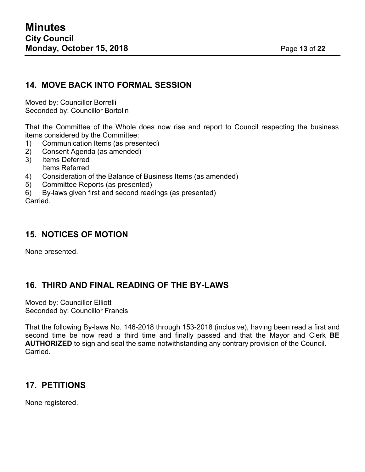### **14. MOVE BACK INTO FORMAL SESSION**

Moved by: Councillor Borrelli Seconded by: Councillor Bortolin

That the Committee of the Whole does now rise and report to Council respecting the business items considered by the Committee:

- 1) Communication Items (as presented)
- 2) Consent Agenda (as amended)
- 3) Items Deferred Items Referred
- 4) Consideration of the Balance of Business Items (as amended)
- 5) Committee Reports (as presented)
- 6) By-laws given first and second readings (as presented)

Carried.

### **15. NOTICES OF MOTION**

None presented.

## **16. THIRD AND FINAL READING OF THE BY-LAWS**

Moved by: Councillor Elliott Seconded by: Councillor Francis

That the following By-laws No. 146-2018 through 153-2018 (inclusive), having been read a first and second time be now read a third time and finally passed and that the Mayor and Clerk **BE AUTHORIZED** to sign and seal the same notwithstanding any contrary provision of the Council. Carried.

## **17. PETITIONS**

None registered.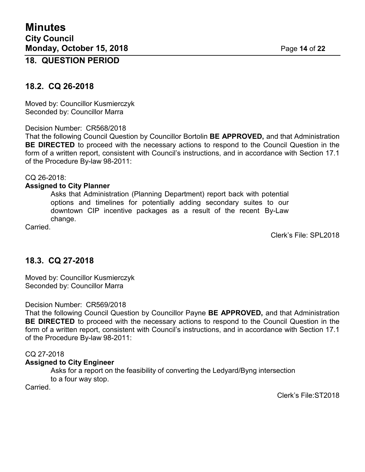#### **18. QUESTION PERIOD**

#### **18.2. CQ 26-2018**

Moved by: Councillor Kusmierczyk Seconded by: Councillor Marra

Decision Number: CR568/2018

That the following Council Question by Councillor Bortolin **BE APPROVED,** and that Administration **BE DIRECTED** to proceed with the necessary actions to respond to the Council Question in the form of a written report, consistent with Council's instructions, and in accordance with Section 17.1 of the Procedure By-law 98-2011:

#### CQ 26-2018:

#### **Assigned to City Planner**

Asks that Administration (Planning Department) report back with potential options and timelines for potentially adding secondary suites to our downtown CIP incentive packages as a result of the recent By-Law change.

Carried.

Clerk's File: SPL2018

#### **18.3. CQ 27-2018**

Moved by: Councillor Kusmierczyk Seconded by: Councillor Marra

Decision Number: CR569/2018

That the following Council Question by Councillor Payne **BE APPROVED,** and that Administration **BE DIRECTED** to proceed with the necessary actions to respond to the Council Question in the form of a written report, consistent with Council's instructions, and in accordance with Section 17.1 of the Procedure By-law 98-2011:

#### CQ 27-2018

#### **Assigned to City Engineer**

Asks for a report on the feasibility of converting the Ledyard/Byng intersection to a four way stop.

Carried.

Clerk's File:ST2018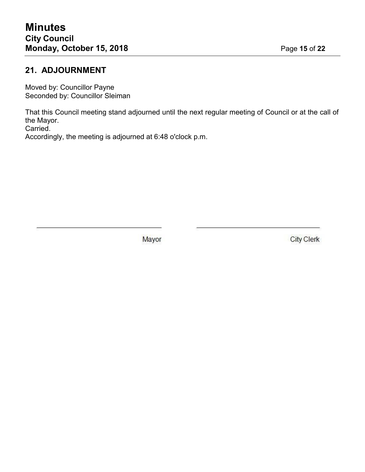## **21. ADJOURNMENT**

Moved by: Councillor Payne Seconded by: Councillor Sleiman

That this Council meeting stand adjourned until the next regular meeting of Council or at the call of the Mayor.

Carried.

Accordingly, the meeting is adjourned at 6:48 o'clock p.m.

Mayor

**City Clerk**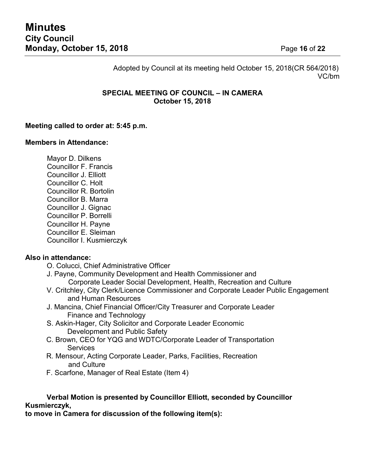Adopted by Council at its meeting held October 15, 2018(CR 564/2018) VC/bm

#### **SPECIAL MEETING OF COUNCIL – IN CAMERA October 15, 2018**

#### **Meeting called to order at: 5:45 p.m.**

#### **Members in Attendance:**

Mayor D. Dilkens Councillor F. Francis Councillor J. Elliott Councillor C. Holt Councillor R. Bortolin Councillor B. Marra Councillor J. Gignac Councillor P. Borrelli Councillor H. Payne Councillor E. Sleiman Councillor I. Kusmierczyk

#### **Also in attendance:**

- O. Colucci, Chief Administrative Officer
- J. Payne, Community Development and Health Commissioner and Corporate Leader Social Development, Health, Recreation and Culture
- V. Critchley, City Clerk/Licence Commissioner and Corporate Leader Public Engagement and Human Resources
- J. Mancina, Chief Financial Officer/City Treasurer and Corporate Leader Finance and Technology
- S. Askin-Hager, City Solicitor and Corporate Leader Economic Development and Public Safety
- C. Brown, CEO for YQG and WDTC/Corporate Leader of Transportation **Services**
- R. Mensour, Acting Corporate Leader, Parks, Facilities, Recreation and Culture
- F. Scarfone, Manager of Real Estate (Item 4)

#### **Verbal Motion is presented by Councillor Elliott, seconded by Councillor Kusmierczyk,**

**to move in Camera for discussion of the following item(s):**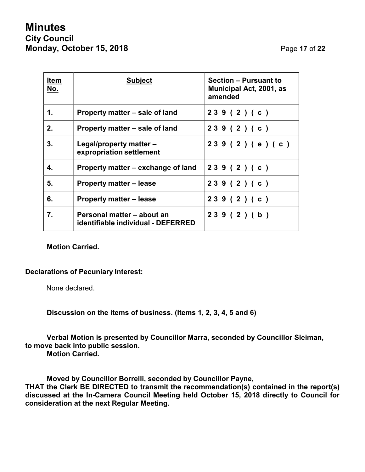| <u>Item</u><br><u>No.</u> | <b>Subject</b>                                                   | <b>Section - Pursuant to</b><br>Municipal Act, 2001, as<br>amended |
|---------------------------|------------------------------------------------------------------|--------------------------------------------------------------------|
| 1.                        | Property matter – sale of land                                   | 239(2)(c)                                                          |
| 2.                        | Property matter – sale of land                                   | 239(2)(c)                                                          |
| 3.                        | Legal/property matter –<br>expropriation settlement              | 239(2)(e)(c)                                                       |
| 4.                        | Property matter – exchange of land                               | 239 (2) (c)                                                        |
| 5.                        | <b>Property matter – lease</b>                                   | 239(2)(c)                                                          |
| 6.                        | <b>Property matter – lease</b>                                   | 239(2)(c)                                                          |
| 7.                        | Personal matter – about an<br>identifiable individual - DEFERRED | 239(2)(b)                                                          |

#### **Motion Carried.**

#### **Declarations of Pecuniary Interest:**

None declared.

**Discussion on the items of business. (Items 1, 2, 3, 4, 5 and 6)**

**Verbal Motion is presented by Councillor Marra, seconded by Councillor Sleiman, to move back into public session.**

**Motion Carried.**

**Moved by Councillor Borrelli, seconded by Councillor Payne,**

**THAT the Clerk BE DIRECTED to transmit the recommendation(s) contained in the report(s) discussed at the In-Camera Council Meeting held October 15, 2018 directly to Council for consideration at the next Regular Meeting.**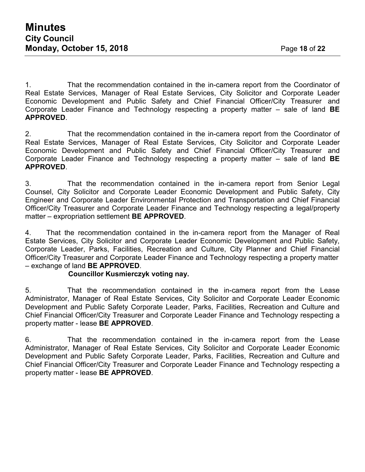1. That the recommendation contained in the in-camera report from the Coordinator of Real Estate Services, Manager of Real Estate Services, City Solicitor and Corporate Leader Economic Development and Public Safety and Chief Financial Officer/City Treasurer and Corporate Leader Finance and Technology respecting a property matter – sale of land **BE APPROVED**.

2. That the recommendation contained in the in-camera report from the Coordinator of Real Estate Services, Manager of Real Estate Services, City Solicitor and Corporate Leader Economic Development and Public Safety and Chief Financial Officer/City Treasurer and Corporate Leader Finance and Technology respecting a property matter – sale of land **BE APPROVED**.

3. That the recommendation contained in the in-camera report from Senior Legal Counsel, City Solicitor and Corporate Leader Economic Development and Public Safety, City Engineer and Corporate Leader Environmental Protection and Transportation and Chief Financial Officer/City Treasurer and Corporate Leader Finance and Technology respecting a legal/property matter – expropriation settlement **BE APPROVED**.

4. That the recommendation contained in the in-camera report from the Manager of Real Estate Services, City Solicitor and Corporate Leader Economic Development and Public Safety, Corporate Leader, Parks, Facilities, Recreation and Culture, City Planner and Chief Financial Officer/City Treasurer and Corporate Leader Finance and Technology respecting a property matter – exchange of land **BE APPROVED**.

#### **Councillor Kusmierczyk voting nay.**

5. That the recommendation contained in the in-camera report from the Lease Administrator, Manager of Real Estate Services, City Solicitor and Corporate Leader Economic Development and Public Safety Corporate Leader, Parks, Facilities, Recreation and Culture and Chief Financial Officer/City Treasurer and Corporate Leader Finance and Technology respecting a property matter - lease **BE APPROVED**.

6. That the recommendation contained in the in-camera report from the Lease Administrator, Manager of Real Estate Services, City Solicitor and Corporate Leader Economic Development and Public Safety Corporate Leader, Parks, Facilities, Recreation and Culture and Chief Financial Officer/City Treasurer and Corporate Leader Finance and Technology respecting a property matter - lease **BE APPROVED**.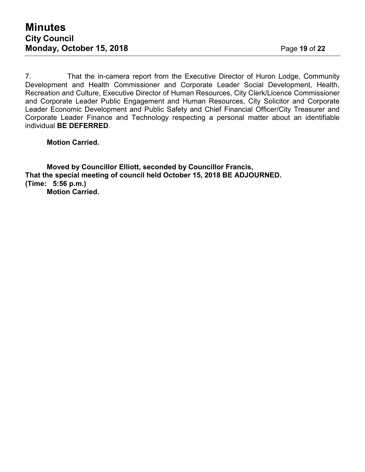7. That the in-camera report from the Executive Director of Huron Lodge, Community Development and Health Commissioner and Corporate Leader Social Development, Health, Recreation and Culture, Executive Director of Human Resources, City Clerk/Licence Commissioner and Corporate Leader Public Engagement and Human Resources, City Solicitor and Corporate Leader Economic Development and Public Safety and Chief Financial Officer/City Treasurer and Corporate Leader Finance and Technology respecting a personal matter about an identifiable individual **BE DEFERRED**.

#### **Motion Carried.**

**Moved by Councillor Elliott, seconded by Councillor Francis, That the special meeting of council held October 15, 2018 BE ADJOURNED. (Time: 5:56 p.m.) Motion Carried.**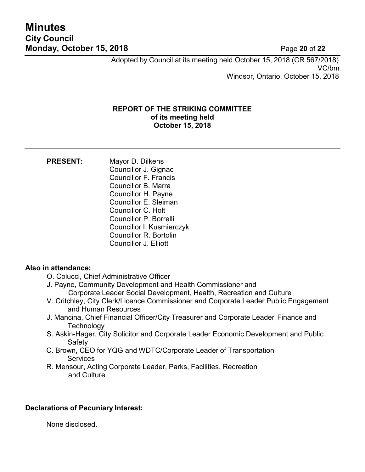# **Minutes City Council Monday, October 15, 2018** Page **20** of **22**

Adopted by Council at its meeting held October 15, 2018 (CR 567/2018) VC/bm Windsor, Ontario, October 15, 2018

#### **REPORT OF THE STRIKING COMMITTEE of its meeting held October 15, 2018**

| <b>PRESENT:</b> | Mayor D. Dilkens              |
|-----------------|-------------------------------|
|                 | Councillor J. Gignac          |
|                 | <b>Councillor F. Francis</b>  |
|                 | Councillor B. Marra           |
|                 | Councillor H. Payne           |
|                 | Councillor E. Sleiman         |
|                 | <b>Councillor C. Holt</b>     |
|                 | Councillor P. Borrelli        |
|                 | Councillor I. Kusmierczyk     |
|                 | <b>Councillor R. Bortolin</b> |
|                 | <b>Councillor J. Elliott</b>  |

#### **Also in attendance:**

- O. Colucci, Chief Administrative Officer
- J. Payne, Community Development and Health Commissioner and Corporate Leader Social Development, Health, Recreation and Culture
- V. Critchley, City Clerk/Licence Commissioner and Corporate Leader Public Engagement and Human Resources
- J. Mancina, Chief Financial Officer/City Treasurer and Corporate Leader Finance and **Technology**
- S. Askin-Hager, City Solicitor and Corporate Leader Economic Development and Public **Safety**
- C. Brown, CEO for YQG and WDTC/Corporate Leader of Transportation **Services**
- R. Mensour, Acting Corporate Leader, Parks, Facilities, Recreation and Culture

#### **Declarations of Pecuniary Interest:**

None disclosed.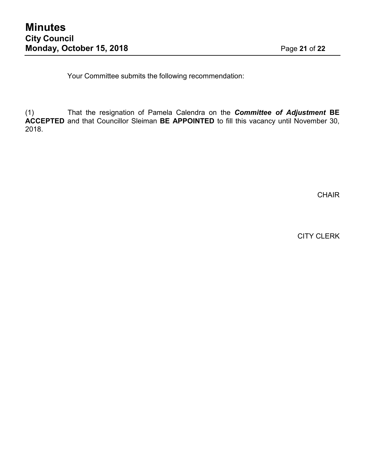Your Committee submits the following recommendation:

(1) That the resignation of Pamela Calendra on the *Committee of Adjustment* **BE ACCEPTED** and that Councillor Sleiman **BE APPOINTED** to fill this vacancy until November 30, 2018.

CHAIR

CITY CLERK